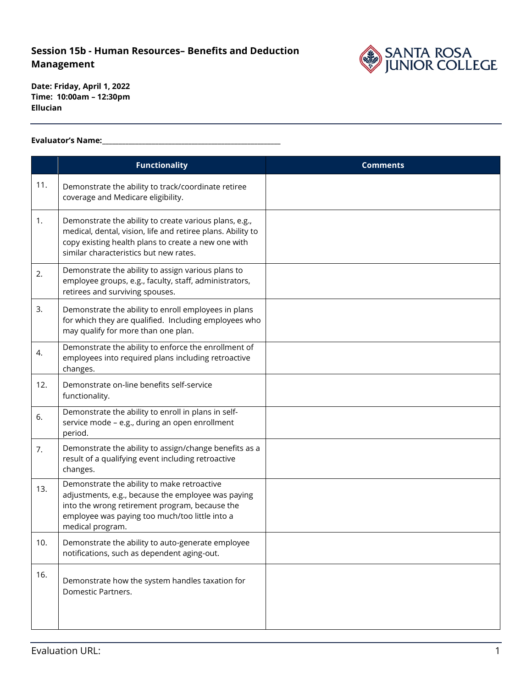## **Session 15b - Human Resources– Benefits and Deduction Management**



**Date: Friday, April 1, 2022 Time: 10:00am – 12:30pm Ellucian**

#### **Evaluator's Name:\_\_\_\_\_\_\_\_\_\_\_\_\_\_\_\_\_\_\_\_\_\_\_\_\_\_\_\_\_\_\_\_\_\_\_\_\_\_\_\_\_\_\_\_\_\_\_\_\_\_\_\_\_\_**

|     | <b>Functionality</b>                                                                                                                                                                                                      | <b>Comments</b> |
|-----|---------------------------------------------------------------------------------------------------------------------------------------------------------------------------------------------------------------------------|-----------------|
| 11. | Demonstrate the ability to track/coordinate retiree<br>coverage and Medicare eligibility.                                                                                                                                 |                 |
| 1.  | Demonstrate the ability to create various plans, e.g.,<br>medical, dental, vision, life and retiree plans. Ability to<br>copy existing health plans to create a new one with<br>similar characteristics but new rates.    |                 |
| 2.  | Demonstrate the ability to assign various plans to<br>employee groups, e.g., faculty, staff, administrators,<br>retirees and surviving spouses.                                                                           |                 |
| 3.  | Demonstrate the ability to enroll employees in plans<br>for which they are qualified. Including employees who<br>may qualify for more than one plan.                                                                      |                 |
| 4.  | Demonstrate the ability to enforce the enrollment of<br>employees into required plans including retroactive<br>changes.                                                                                                   |                 |
| 12. | Demonstrate on-line benefits self-service<br>functionality.                                                                                                                                                               |                 |
| 6.  | Demonstrate the ability to enroll in plans in self-<br>service mode - e.g., during an open enrollment<br>period.                                                                                                          |                 |
| 7.  | Demonstrate the ability to assign/change benefits as a<br>result of a qualifying event including retroactive<br>changes.                                                                                                  |                 |
| 13. | Demonstrate the ability to make retroactive<br>adjustments, e.g., because the employee was paying<br>into the wrong retirement program, because the<br>employee was paying too much/too little into a<br>medical program. |                 |
| 10. | Demonstrate the ability to auto-generate employee<br>notifications, such as dependent aging-out.                                                                                                                          |                 |
| 16. | Demonstrate how the system handles taxation for<br>Domestic Partners.                                                                                                                                                     |                 |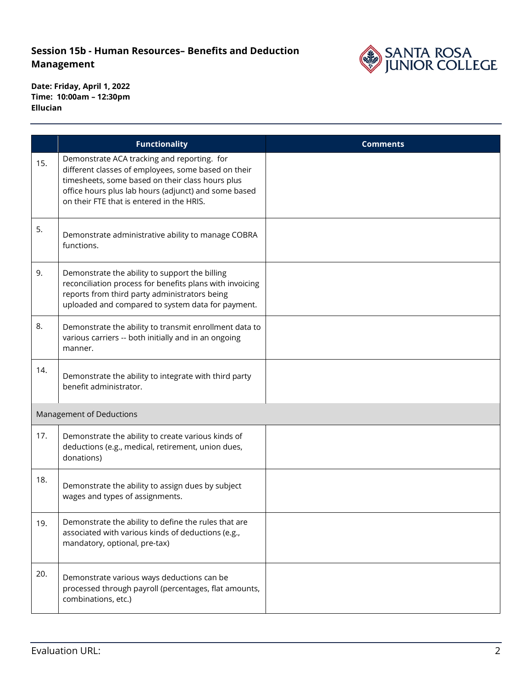## **Session 15b - Human Resources– Benefits and Deduction Management**



**Date: Friday, April 1, 2022 Time: 10:00am – 12:30pm Ellucian**

|     | <b>Functionality</b>                                                                                                                                                                                                                                        | <b>Comments</b> |  |  |  |
|-----|-------------------------------------------------------------------------------------------------------------------------------------------------------------------------------------------------------------------------------------------------------------|-----------------|--|--|--|
| 15. | Demonstrate ACA tracking and reporting. for<br>different classes of employees, some based on their<br>timesheets, some based on their class hours plus<br>office hours plus lab hours (adjunct) and some based<br>on their FTE that is entered in the HRIS. |                 |  |  |  |
| 5.  | Demonstrate administrative ability to manage COBRA<br>functions.                                                                                                                                                                                            |                 |  |  |  |
| 9.  | Demonstrate the ability to support the billing<br>reconciliation process for benefits plans with invoicing<br>reports from third party administrators being<br>uploaded and compared to system data for payment.                                            |                 |  |  |  |
| 8.  | Demonstrate the ability to transmit enrollment data to<br>various carriers -- both initially and in an ongoing<br>manner.                                                                                                                                   |                 |  |  |  |
| 14. | Demonstrate the ability to integrate with third party<br>benefit administrator.                                                                                                                                                                             |                 |  |  |  |
|     | Management of Deductions                                                                                                                                                                                                                                    |                 |  |  |  |
| 17. | Demonstrate the ability to create various kinds of<br>deductions (e.g., medical, retirement, union dues,<br>donations)                                                                                                                                      |                 |  |  |  |
| 18. | Demonstrate the ability to assign dues by subject<br>wages and types of assignments.                                                                                                                                                                        |                 |  |  |  |
| 19. | Demonstrate the ability to define the rules that are<br>associated with various kinds of deductions (e.g.,<br>mandatory, optional, pre-tax)                                                                                                                 |                 |  |  |  |
| 20. | Demonstrate various ways deductions can be<br>processed through payroll (percentages, flat amounts,<br>combinations, etc.)                                                                                                                                  |                 |  |  |  |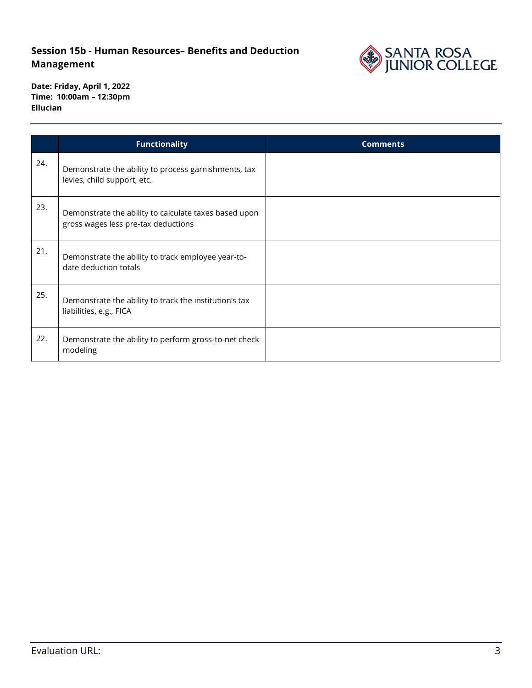# **Session 15b - Human Resources– Benefits and Deduction Management**



**Date: Friday, April 1, 2022 Time: 10:00am – 12:30pm Ellucian**

|     | <b>Functionality</b>                                                                         | <b>Comments</b> |
|-----|----------------------------------------------------------------------------------------------|-----------------|
| 24. | Demonstrate the ability to process garnishments, tax<br>levies, child support, etc.          |                 |
| 23. | Demonstrate the ability to calculate taxes based upon<br>gross wages less pre-tax deductions |                 |
| 21. | Demonstrate the ability to track employee year-to-<br>date deduction totals                  |                 |
| 25. | Demonstrate the ability to track the institution's tax<br>liabilities, e.g., FICA            |                 |
| 22. | Demonstrate the ability to perform gross-to-net check<br>modeling                            |                 |